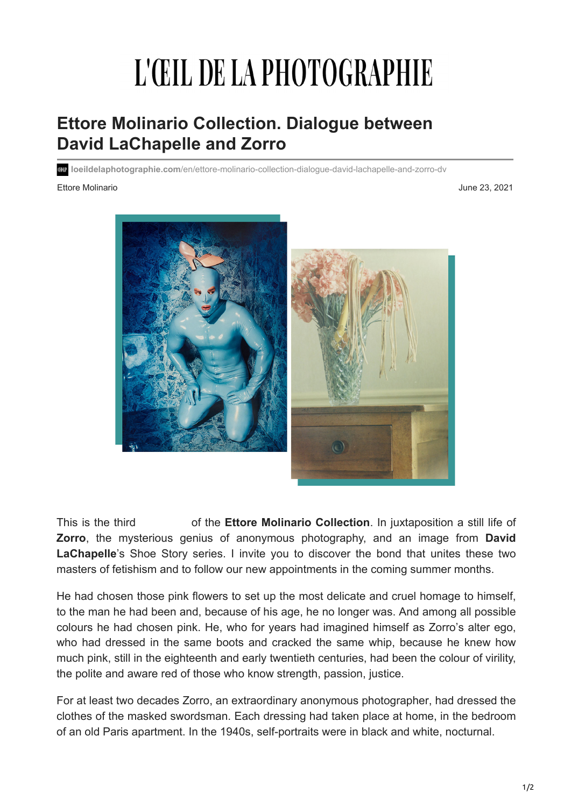## L'ŒIL DE LA PHOTOGRAPHIE

## **Ettore Molinario Collection. Dialogue between David LaChapelle and Zorro**

**loeildelaphotographie.com**[/en/ettore-molinario-collection-dialogue-david-lachapelle-and-zorro-dv](https://loeildelaphotographie.com/en/ettore-molinario-collection-dialogue-david-lachapelle-and-zorro-dv/)

## Ettore Molinario June 23, 2021



This is the third *Dialogue* of the **Ettore Molinario Collection**. In juxtaposition a still life of **Zorro**, the mysterious genius of anonymous photography, and an image from **David** LaChapelle's Shoe Story series. I invite you to discover the bond that unites these two masters of fetishism and to follow our new appointments in the coming summer months.

He had chosen those pink flowers to set up the most delicate and cruel homage to himself, to the man he had been and, because of his age, he no longer was. And among all possible colours he had chosen pink. He, who for years had imagined himself as Zorro's alter ego, who had dressed in the same boots and cracked the same whip, because he knew how much pink, still in the eighteenth and early twentieth centuries, had been the colour of virility, the polite and aware red of those who know strength, passion, justice.

For at least two decades Zorro, an extraordinary anonymous photographer, had dressed the clothes of the masked swordsman. Each dressing had taken place at home, in the bedroom of an old Paris apartment. In the 1940s, self-portraits were in black and white, nocturnal.